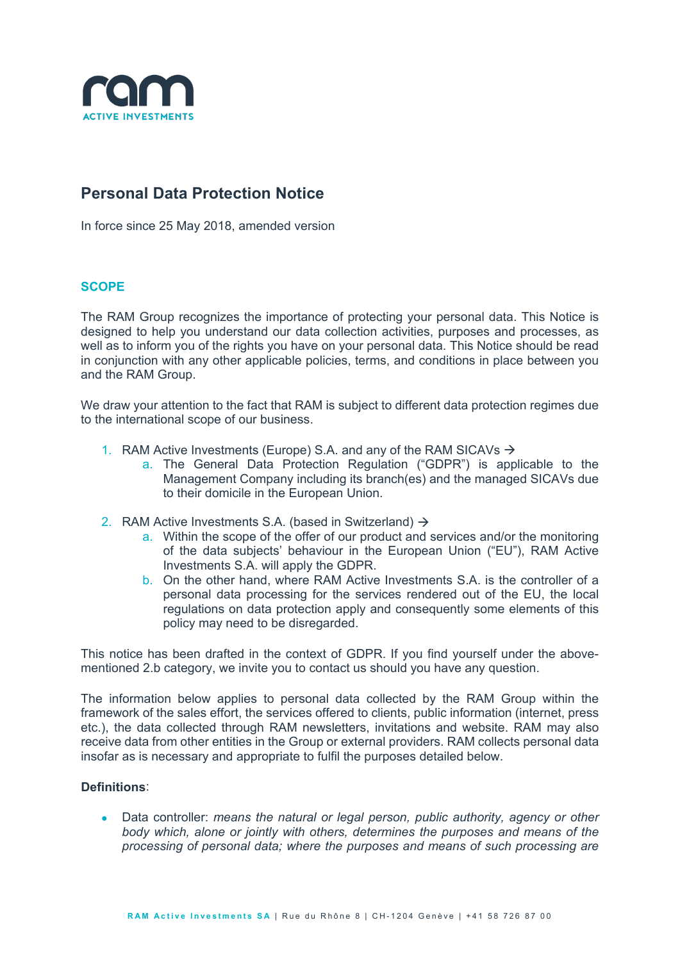

# **Personal Data Protection Notice**

In force since 25 May 2018, amended version

## **SCOPE**

The RAM Group recognizes the importance of protecting your personal data. This Notice is designed to help you understand our data collection activities, purposes and processes, as well as to inform you of the rights you have on your personal data. This Notice should be read in conjunction with any other applicable policies, terms, and conditions in place between you and the RAM Group.

We draw your attention to the fact that RAM is subject to different data protection regimes due to the international scope of our business.

- 1. RAM Active Investments (Europe) S.A. and any of the RAM SICAVs  $\rightarrow$ 
	- a. The General Data Protection Regulation ("GDPR") is applicable to the Management Company including its branch(es) and the managed SICAVs due to their domicile in the European Union.
- 2. RAM Active Investments S.A. (based in Switzerland)  $\rightarrow$ 
	- a. Within the scope of the offer of our product and services and/or the monitoring of the data subjects' behaviour in the European Union ("EU"), RAM Active Investments S.A. will apply the GDPR.
	- b. On the other hand, where RAM Active Investments S.A. is the controller of a personal data processing for the services rendered out of the EU, the local regulations on data protection apply and consequently some elements of this policy may need to be disregarded.

This notice has been drafted in the context of GDPR. If you find yourself under the abovementioned 2.b category, we invite you to contact us should you have any question.

The information below applies to personal data collected by the RAM Group within the framework of the sales effort, the services offered to clients, public information (internet, press etc.), the data collected through RAM newsletters, invitations and website. RAM may also receive data from other entities in the Group or external providers. RAM collects personal data insofar as is necessary and appropriate to fulfil the purposes detailed below.

#### **Definitions**:

• Data controller: *means the natural or legal person, public authority, agency or other body which, alone or jointly with others, determines the purposes and means of the processing of personal data; where the purposes and means of such processing are*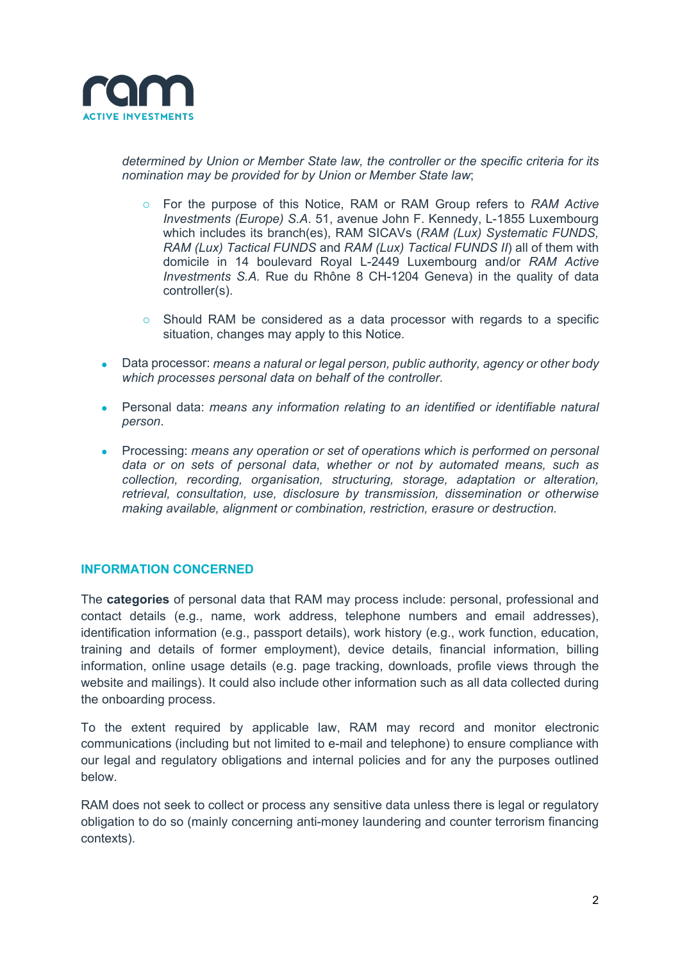

*determined by Union or Member State law, the controller or the specific criteria for its nomination may be provided for by Union or Member State law*;

- o For the purpose of this Notice, RAM or RAM Group refers to *RAM Active Investments (Europe) S.A*. 51, avenue John F. Kennedy, L-1855 Luxembourg which includes its branch(es), RAM SICAVs (*RAM (Lux) Systematic FUNDS, RAM (Lux) Tactical FUNDS* and *RAM (Lux) Tactical FUNDS II*) all of them with domicile in 14 boulevard Royal L-2449 Luxembourg and/or *RAM Active Investments S.A.* Rue du Rhône 8 CH-1204 Geneva) in the quality of data controller(s).
- o Should RAM be considered as a data processor with regards to a specific situation, changes may apply to this Notice.
- Data processor: *means a natural or legal person, public authority, agency or other body which processes personal data on behalf of the controller.*
- Personal data: *means any information relating to an identified or identifiable natural person*.
- Processing: *means any operation or set of operations which is performed on personal data or on sets of personal data, whether or not by automated means, such as collection, recording, organisation, structuring, storage, adaptation or alteration, retrieval, consultation, use, disclosure by transmission, dissemination or otherwise making available, alignment or combination, restriction, erasure or destruction.*

## **INFORMATION CONCERNED**

The **categories** of personal data that RAM may process include: personal, professional and contact details (e.g., name, work address, telephone numbers and email addresses), identification information (e.g., passport details), work history (e.g., work function, education, training and details of former employment), device details, financial information, billing information, online usage details (e.g. page tracking, downloads, profile views through the website and mailings). It could also include other information such as all data collected during the onboarding process.

To the extent required by applicable law, RAM may record and monitor electronic communications (including but not limited to e-mail and telephone) to ensure compliance with our legal and regulatory obligations and internal policies and for any the purposes outlined below.

RAM does not seek to collect or process any sensitive data unless there is legal or regulatory obligation to do so (mainly concerning anti-money laundering and counter terrorism financing contexts).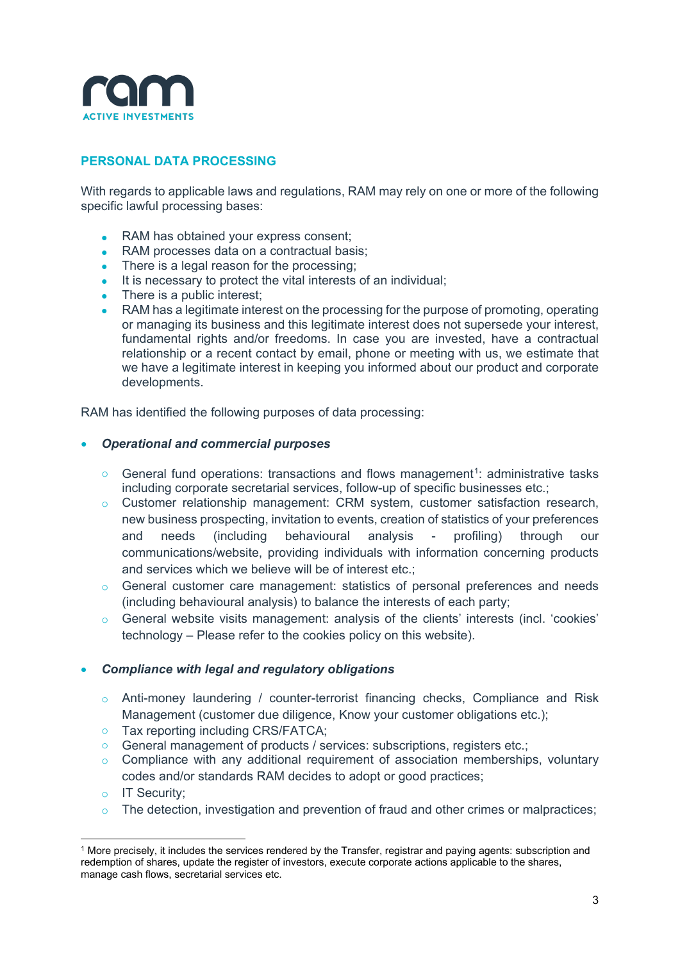

## **PERSONAL DATA PROCESSING**

With regards to applicable laws and regulations, RAM may rely on one or more of the following specific lawful processing bases:

- RAM has obtained your express consent:
- RAM processes data on a contractual basis;
- There is a legal reason for the processing:
- It is necessary to protect the vital interests of an individual;
- There is a public interest:
- RAM has a legitimate interest on the processing for the purpose of promoting, operating or managing its business and this legitimate interest does not supersede your interest, fundamental rights and/or freedoms. In case you are invested, have a contractual relationship or a recent contact by email, phone or meeting with us, we estimate that we have a legitimate interest in keeping you informed about our product and corporate developments.

RAM has identified the following purposes of data processing:

## • *Operational and commercial purposes*

- $\circ$  General fund operations: transactions and flows management<sup>[1](#page-2-0)</sup>: administrative tasks including corporate secretarial services, follow-up of specific businesses etc.;
- o Customer relationship management: CRM system, customer satisfaction research, new business prospecting, invitation to events, creation of statistics of your preferences and needs (including behavioural analysis - profiling) through our communications/website, providing individuals with information concerning products and services which we believe will be of interest etc.;
- o General customer care management: statistics of personal preferences and needs (including behavioural analysis) to balance the interests of each party;
- o General website visits management: analysis of the clients' interests (incl. 'cookies' technology – Please refer to the cookies policy on this website).

#### • *Compliance with legal and regulatory obligations*

- o Anti-money laundering / counter-terrorist financing checks, Compliance and Risk Management (customer due diligence, Know your customer obligations etc.);
- o Tax reporting including CRS/FATCA;
- o General management of products / services: subscriptions, registers etc.;
- $\circ$  Compliance with any additional requirement of association memberships, voluntary codes and/or standards RAM decides to adopt or good practices;
- o IT Security;
- $\circ$  The detection, investigation and prevention of fraud and other crimes or malpractices;

<span id="page-2-0"></span> <sup>1</sup> More precisely, it includes the services rendered by the Transfer, registrar and paying agents: subscription and redemption of shares, update the register of investors, execute corporate actions applicable to the shares, manage cash flows, secretarial services etc.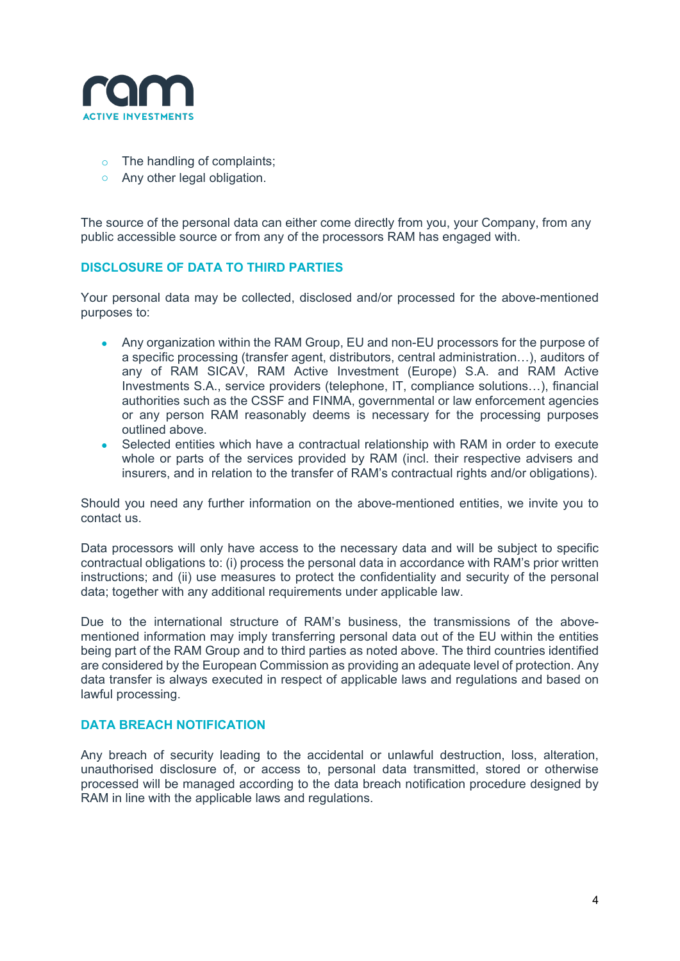

- o The handling of complaints;
- o Any other legal obligation.

The source of the personal data can either come directly from you, your Company, from any public accessible source or from any of the processors RAM has engaged with.

## **DISCLOSURE OF DATA TO THIRD PARTIES**

Your personal data may be collected, disclosed and/or processed for the above-mentioned purposes to:

- Any organization within the RAM Group, EU and non-EU processors for the purpose of a specific processing (transfer agent, distributors, central administration…), auditors of any of RAM SICAV, RAM Active Investment (Europe) S.A. and RAM Active Investments S.A., service providers (telephone, IT, compliance solutions…), financial authorities such as the CSSF and FINMA, governmental or law enforcement agencies or any person RAM reasonably deems is necessary for the processing purposes outlined above.
- Selected entities which have a contractual relationship with RAM in order to execute whole or parts of the services provided by RAM (incl. their respective advisers and insurers, and in relation to the transfer of RAM's contractual rights and/or obligations).

Should you need any further information on the above-mentioned entities, we invite you to contact us.

Data processors will only have access to the necessary data and will be subject to specific contractual obligations to: (i) process the personal data in accordance with RAM's prior written instructions; and (ii) use measures to protect the confidentiality and security of the personal data; together with any additional requirements under applicable law.

Due to the international structure of RAM's business, the transmissions of the abovementioned information may imply transferring personal data out of the EU within the entities being part of the RAM Group and to third parties as noted above. The third countries identified are considered by the European Commission as providing an adequate level of protection. Any data transfer is always executed in respect of applicable laws and regulations and based on lawful processing.

#### **DATA BREACH NOTIFICATION**

Any breach of security leading to the accidental or unlawful destruction, loss, alteration, unauthorised disclosure of, or access to, personal data transmitted, stored or otherwise processed will be managed according to the data breach notification procedure designed by RAM in line with the applicable laws and regulations.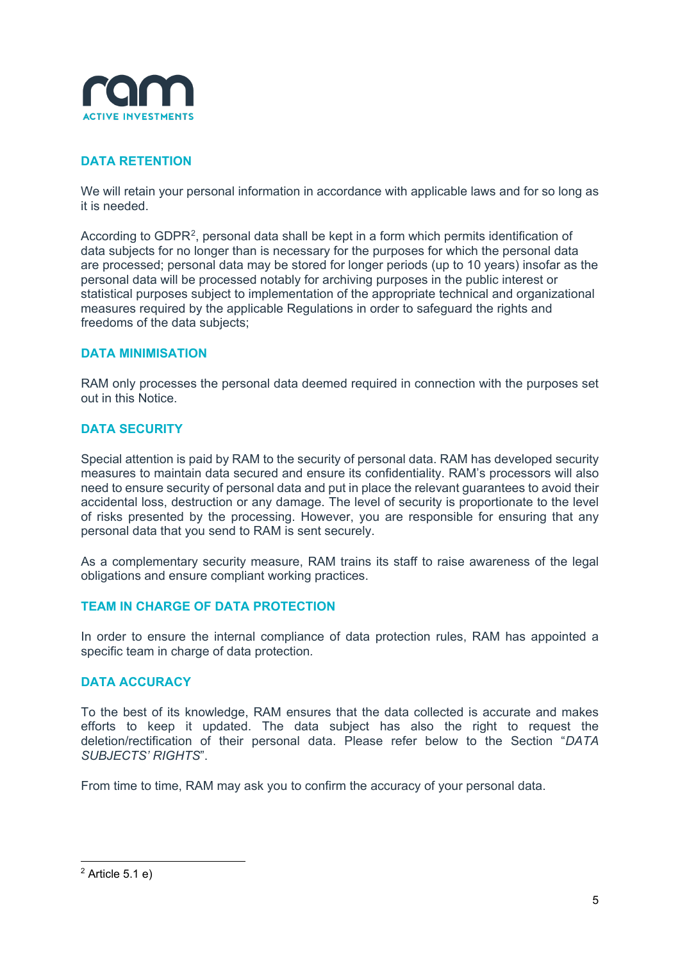

## **DATA RETENTION**

We will retain your personal information in accordance with applicable laws and for so long as it is needed.

According to GDPR[2](#page-4-0), personal data shall be kept in a form which permits identification of data subjects for no longer than is necessary for the purposes for which the personal data are processed; personal data may be stored for longer periods (up to 10 years) insofar as the personal data will be processed notably for archiving purposes in the public interest or statistical purposes subject to implementation of the appropriate technical and organizational measures required by the applicable Regulations in order to safeguard the rights and freedoms of the data subjects;

## **DATA MINIMISATION**

RAM only processes the personal data deemed required in connection with the purposes set out in this Notice.

## **DATA SECURITY**

Special attention is paid by RAM to the security of personal data. RAM has developed security measures to maintain data secured and ensure its confidentiality. RAM's processors will also need to ensure security of personal data and put in place the relevant guarantees to avoid their accidental loss, destruction or any damage. The level of security is proportionate to the level of risks presented by the processing. However, you are responsible for ensuring that any personal data that you send to RAM is sent securely.

As a complementary security measure, RAM trains its staff to raise awareness of the legal obligations and ensure compliant working practices.

## **TEAM IN CHARGE OF DATA PROTECTION**

In order to ensure the internal compliance of data protection rules, RAM has appointed a specific team in charge of data protection*.*

## **DATA ACCURACY**

To the best of its knowledge, RAM ensures that the data collected is accurate and makes efforts to keep it updated. The data subject has also the right to request the deletion/rectification of their personal data. Please refer below to the Section "*DATA SUBJECTS' RIGHTS*".

From time to time, RAM may ask you to confirm the accuracy of your personal data.

<span id="page-4-0"></span> $2$  Article 5.1 e)